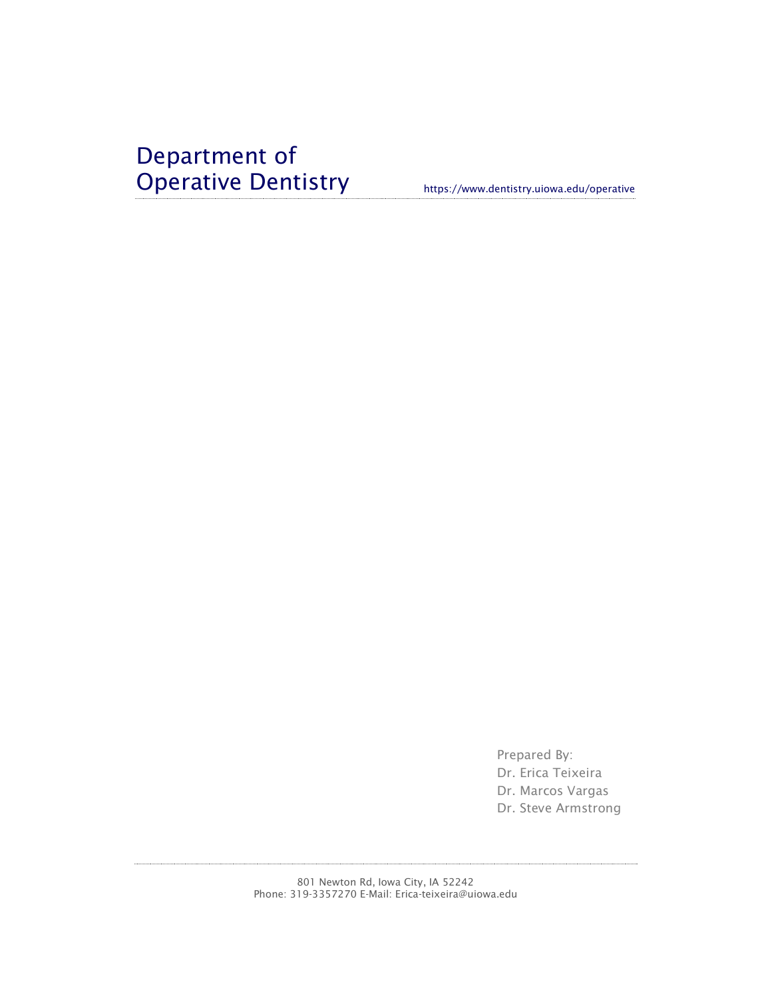# Department of Operative Dentistry https://www.dentistry.uiowa.edu/operative

Prepared By: Dr. Erica Teixeira Dr. Marcos Vargas Dr. Steve Armstrong

801 Newton Rd, Iowa City, IA 52242 Phone: 319-3357270 E-Mail: Erica-teixeira@uiowa.edu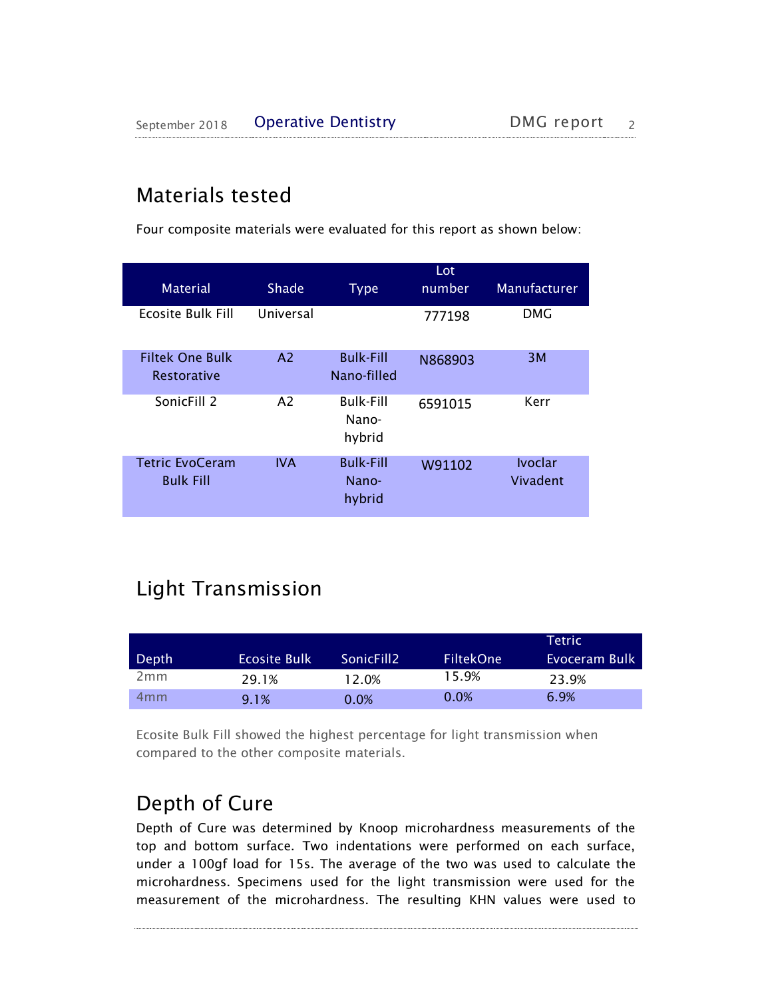# Materials tested

Four composite materials were evaluated for this report as shown below:

| <b>Material</b>                              | Shade          | <b>Type</b>                         | Lot<br>number | <b>Manufacturer</b>        |
|----------------------------------------------|----------------|-------------------------------------|---------------|----------------------------|
| Ecosite Bulk Fill                            | Universal      |                                     | 777198        | <b>DMG</b>                 |
| <b>Filtek One Bulk</b><br><b>Restorative</b> | A <sub>2</sub> | <b>Bulk-Fill</b><br>Nano-filled     | N868903       | 3M                         |
| SonicFill 2                                  | A <sub>2</sub> | <b>Bulk-Fill</b><br>Nano-<br>hybrid | 6591015       | Kerr                       |
| <b>Tetric EvoCeram</b><br><b>Bulk Fill</b>   | <b>IVA</b>     | <b>Bulk-Fill</b><br>Nano-<br>hybrid | W91102        | <b>Ivoclar</b><br>Vivadent |

# Light Transmission

| Depth           | Ecosite Bulk | SonicFill <sub>2</sub> | <b>FiltekOne</b> | Tetric'<br>Evoceram Bulk |
|-----------------|--------------|------------------------|------------------|--------------------------|
| 2mm             | 29.1%        | 12.0%                  | 15.9%            | 23.9%                    |
| 4 <sub>mm</sub> | 9.1%         | 0.0%                   | 0.0%             | 6.9%                     |

Ecosite Bulk Fill showed the highest percentage for light transmission when compared to the other composite materials.

### Depth of Cure

Depth of Cure was determined by Knoop microhardness measurements of the top and bottom surface. Two indentations were performed on each surface, under a 100gf load for 15s. The average of the two was used to calculate the microhardness. Specimens used for the light transmission were used for the measurement of the microhardness. The resulting KHN values were used to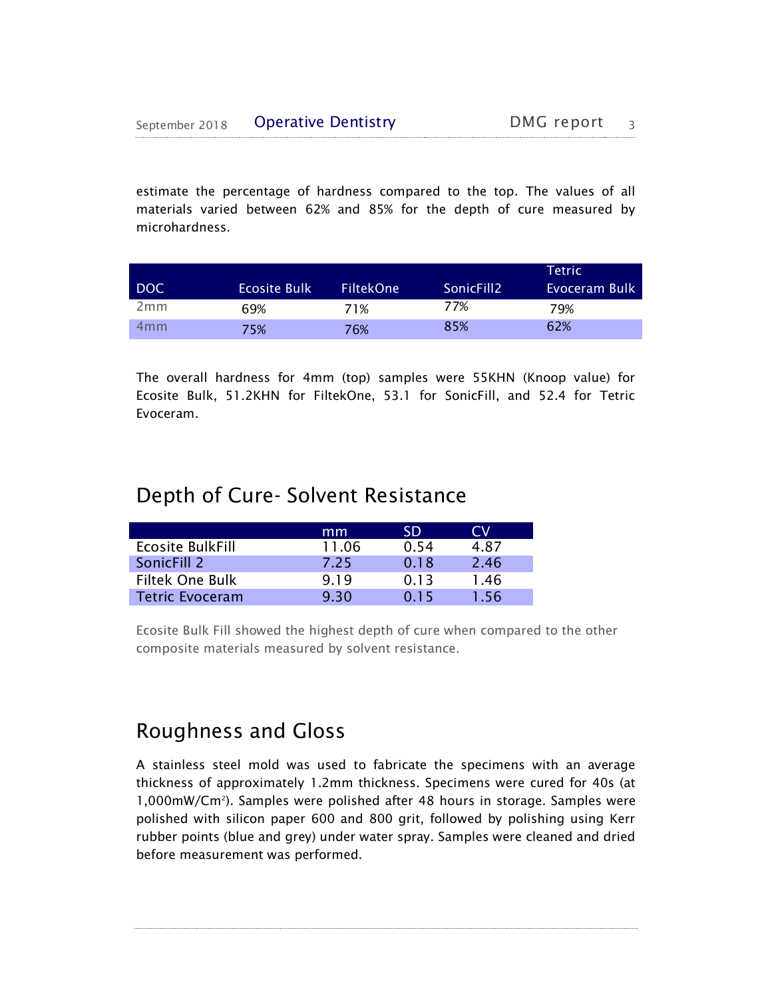estimate the percentage of hardness compared to the top. The values of all materials varied between 62% and 85% for the depth of cure measured by microhardness.

|            |                     |                  |                        | Tetric        |
|------------|---------------------|------------------|------------------------|---------------|
| <b>DOC</b> | <b>Ecosite Bulk</b> | <b>FiltekOne</b> | SonicFill <sub>2</sub> | Evoceram Bulk |
| 2mm        | 69%                 | 71%              | 77%                    | 79%           |
| 4mm        | 75%                 | 76%              | 85%                    | 62%           |

The overall hardness for 4mm (top) samples were 55KHN (Knoop value) for Ecosite Bulk, 51.2KHN for FiltekOne, 53.1 for SonicFill, and 52.4 for Tetric Evoceram.

### Depth of Cure- Solvent Resistance

|                         | mm    | SD    | CM.  |
|-------------------------|-------|-------|------|
| <b>Ecosite BulkFill</b> | 11.06 | 0.54  | 487  |
| SonicFill 2             | 7.25  | 0.18  | 2.46 |
| <b>Filtek One Bulk</b>  | 9.19  | 0.13  | 1.46 |
| <b>Tetric Evoceram</b>  | 9.30  | 0 1 5 | 1.56 |

Ecosite Bulk Fill showed the highest depth of cure when compared to the other composite materials measured by solvent resistance.

### Roughness and Gloss

A stainless steel mold was used to fabricate the specimens with an average thickness of approximately 1.2mm thickness. Specimens were cured for 40s (at 1,000mW/Cm<sup>2</sup> ). Samples were polished after 48 hours in storage. Samples were polished with silicon paper 600 and 800 grit, followed by polishing using Kerr rubber points (blue and grey) under water spray. Samples were cleaned and dried before measurement was performed.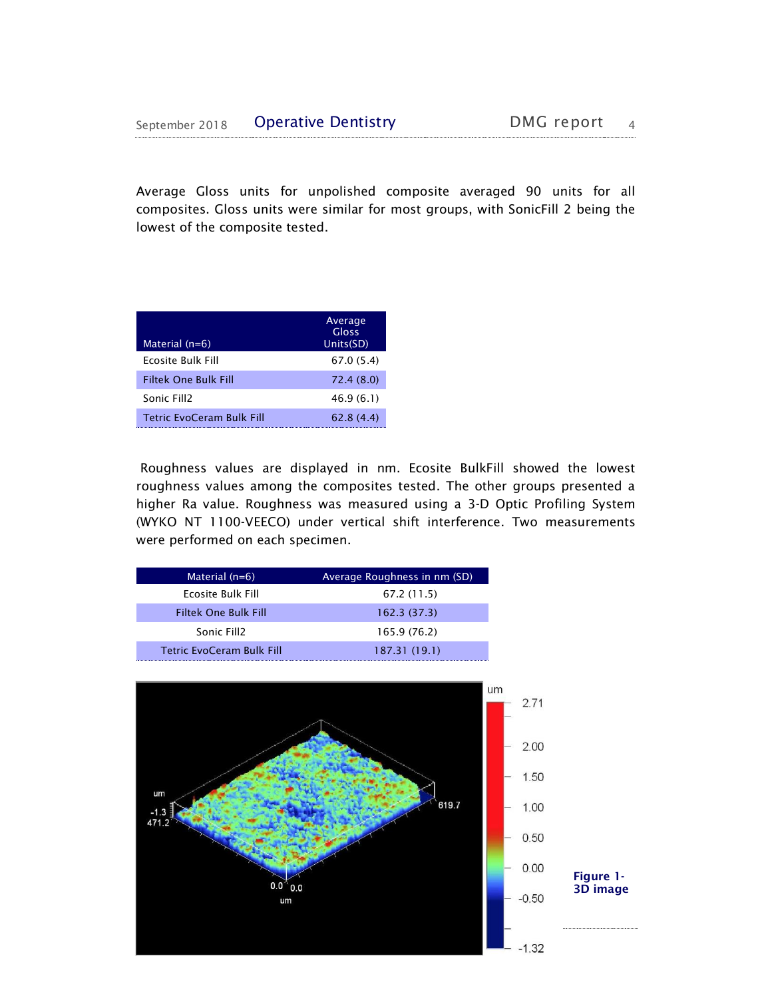Average Gloss units for unpolished composite averaged 90 units for all composites. Gloss units were similar for most groups, with SonicFill 2 being the lowest of the composite tested.

| Material (n=6)                   | Average<br>Gloss<br>Units(SD) |
|----------------------------------|-------------------------------|
| Ecosite Bulk Fill                | 67.0(5.4)                     |
| <b>Filtek One Bulk Fill</b>      | 72.4 (8.0)                    |
| Sonic Fill2                      | 46.9(6.1)                     |
| <b>Tetric EvoCeram Bulk Fill</b> | 62.8(4.4)                     |

Roughness values are displayed in nm. Ecosite BulkFill showed the lowest roughness values among the composites tested. The other groups presented a higher Ra value. Roughness was measured using a 3-D Optic Profiling System (WYKO NT 1100-VEECO) under vertical shift interference. Two measurements were performed on each specimen.

| Material $(n=6)$                 | Average Roughness in nm (SD) |
|----------------------------------|------------------------------|
| Ecosite Bulk Fill                | 67.2 (11.5)                  |
| <b>Filtek One Bulk Fill</b>      | 162.3(37.3)                  |
| Sonic Fill <sub>2</sub>          | 165.9 (76.2)                 |
| <b>Tetric EvoCeram Bulk Fill</b> | 187.31 (19.1)                |

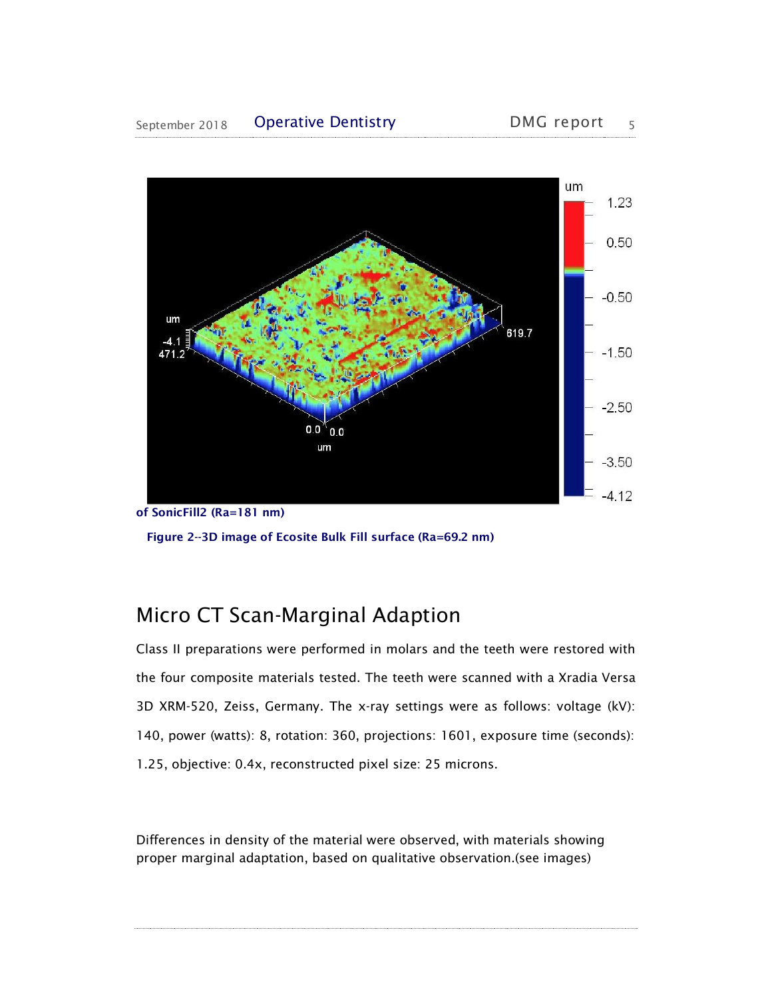

of SonicFill2 (Ra=181 nm) Figure 2--3D image of Ecosite Bulk Fill surface (Ra=69.2 nm)

# Micro CT Scan-Marginal Adaption

Class II preparations were performed in molars and the teeth were restored with the four composite materials tested. The teeth were scanned with a Xradia Versa 3D XRM-520, Zeiss, Germany. The x-ray settings were as follows: voltage (kV): 140, power (watts): 8, rotation: 360, projections: 1601, exposure time (seconds): 1.25, objective: 0.4x, reconstructed pixel size: 25 microns.

Differences in density of the material were observed, with materials showing proper marginal adaptation, based on qualitative observation.(see images)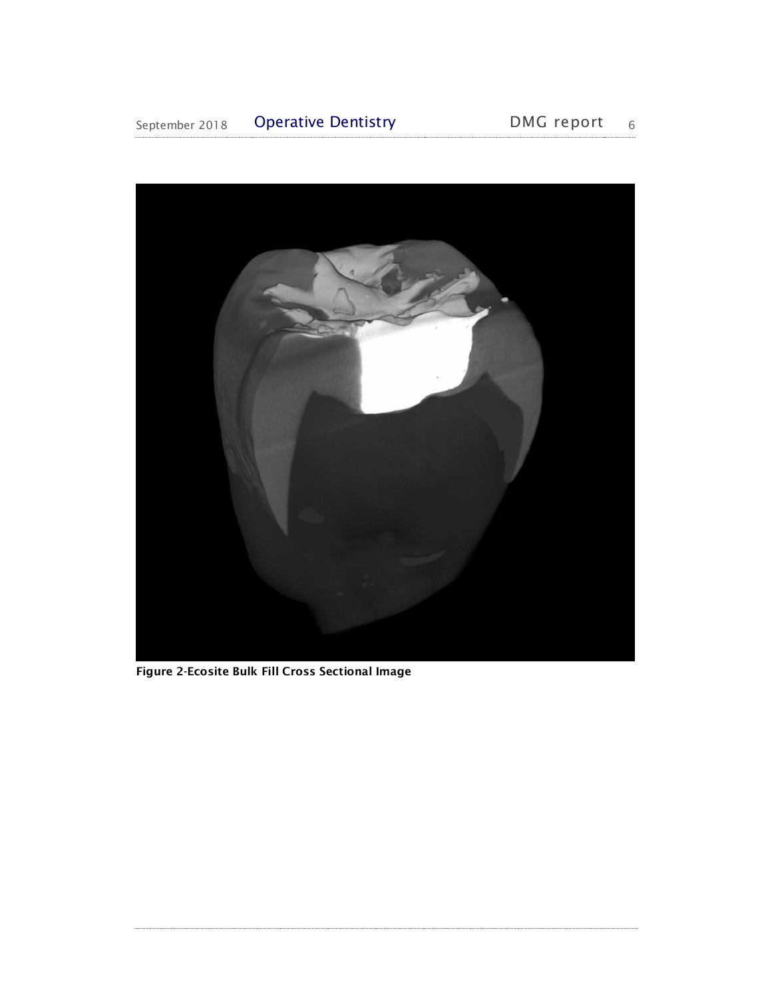

Figure 2-Ecosite Bulk Fill Cross Sectional Image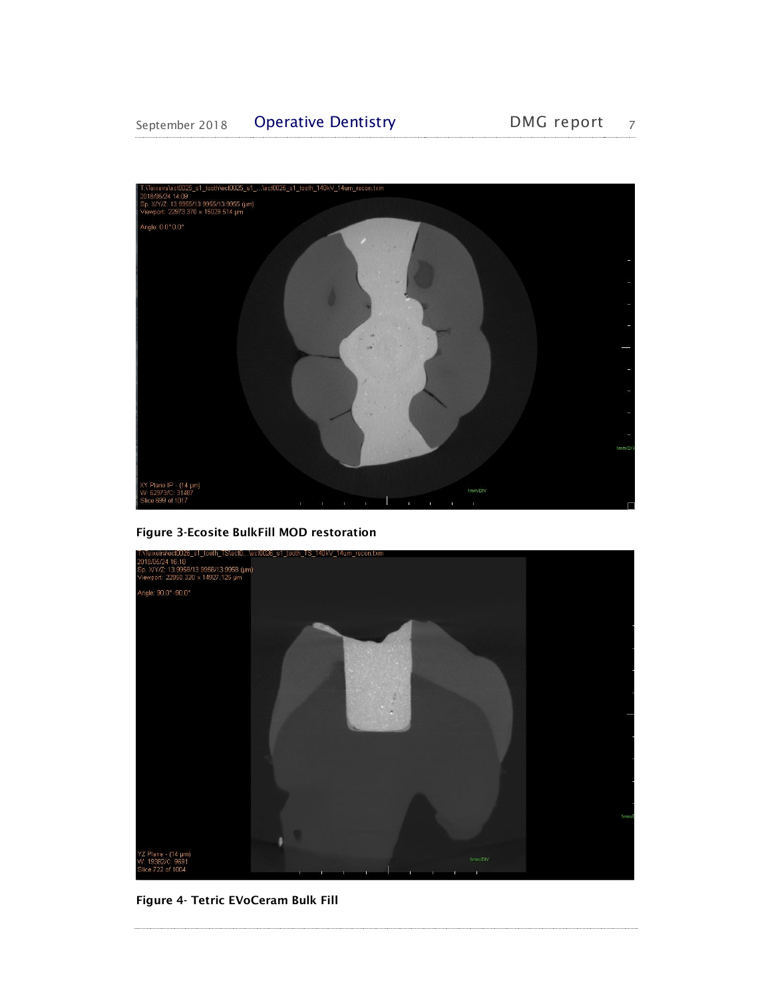#### September 2018 Operative Dentistry DMG report 7



Figure 3-Ecosite BulkFill MOD restoration



Figure 4- Tetric EVoCeram Bulk Fill